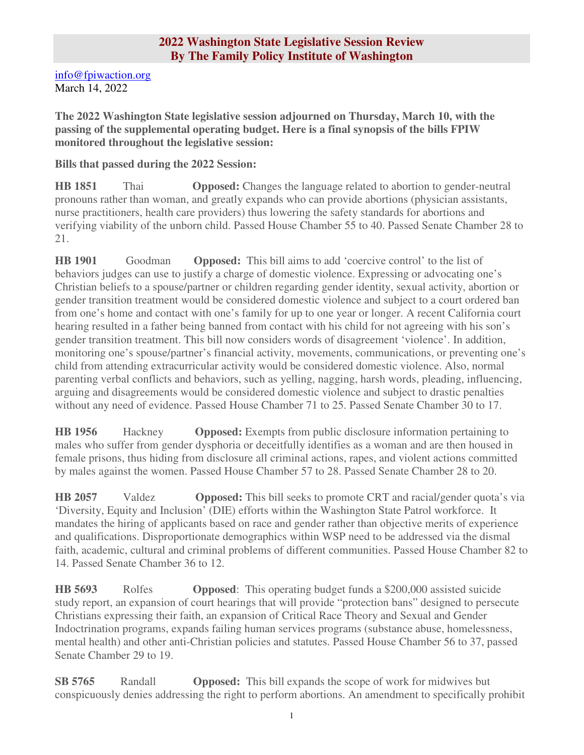## **2022 Washington State Legislative Session Review By The Family Policy Institute of Washington**

info@fpiwaction.org March 14, 2022

**The 2022 Washington State legislative session adjourned on Thursday, March 10, with the passing of the supplemental operating budget. Here is a final synopsis of the bills FPIW monitored throughout the legislative session:** 

## **Bills that passed during the 2022 Session:**

**HB 1851** Thai **Opposed:** Changes the language related to abortion to gender-neutral pronouns rather than woman, and greatly expands who can provide abortions (physician assistants, nurse practitioners, health care providers) thus lowering the safety standards for abortions and verifying viability of the unborn child. Passed House Chamber 55 to 40. Passed Senate Chamber 28 to 21.

**HB 1901** Goodman **Opposed:** This bill aims to add 'coercive control' to the list of behaviors judges can use to justify a charge of domestic violence. Expressing or advocating one's Christian beliefs to a spouse/partner or children regarding gender identity, sexual activity, abortion or gender transition treatment would be considered domestic violence and subject to a court ordered ban from one's home and contact with one's family for up to one year or longer. A recent California court hearing resulted in a father being banned from contact with his child for not agreeing with his son's gender transition treatment. This bill now considers words of disagreement 'violence'. In addition, monitoring one's spouse/partner's financial activity, movements, communications, or preventing one's child from attending extracurricular activity would be considered domestic violence. Also, normal parenting verbal conflicts and behaviors, such as yelling, nagging, harsh words, pleading, influencing, arguing and disagreements would be considered domestic violence and subject to drastic penalties without any need of evidence. Passed House Chamber 71 to 25. Passed Senate Chamber 30 to 17.

**HB 1956** Hackney **Opposed:** Exempts from public disclosure information pertaining to males who suffer from gender dysphoria or deceitfully identifies as a woman and are then housed in female prisons, thus hiding from disclosure all criminal actions, rapes, and violent actions committed by males against the women. Passed House Chamber 57 to 28. Passed Senate Chamber 28 to 20.

**HB 2057** Valdez **Opposed:** This bill seeks to promote CRT and racial/gender quota's via 'Diversity, Equity and Inclusion' (DIE) efforts within the Washington State Patrol workforce. It mandates the hiring of applicants based on race and gender rather than objective merits of experience and qualifications. Disproportionate demographics within WSP need to be addressed via the dismal faith, academic, cultural and criminal problems of different communities. Passed House Chamber 82 to 14. Passed Senate Chamber 36 to 12.

**HB 5693** Rolfes **Opposed**: This operating budget funds a \$200,000 assisted suicide study report, an expansion of court hearings that will provide "protection bans" designed to persecute Christians expressing their faith, an expansion of Critical Race Theory and Sexual and Gender Indoctrination programs, expands failing human services programs (substance abuse, homelessness, mental health) and other anti-Christian policies and statutes. Passed House Chamber 56 to 37, passed Senate Chamber 29 to 19.

**SB 5765** Randall **Opposed:** This bill expands the scope of work for midwives but conspicuously denies addressing the right to perform abortions. An amendment to specifically prohibit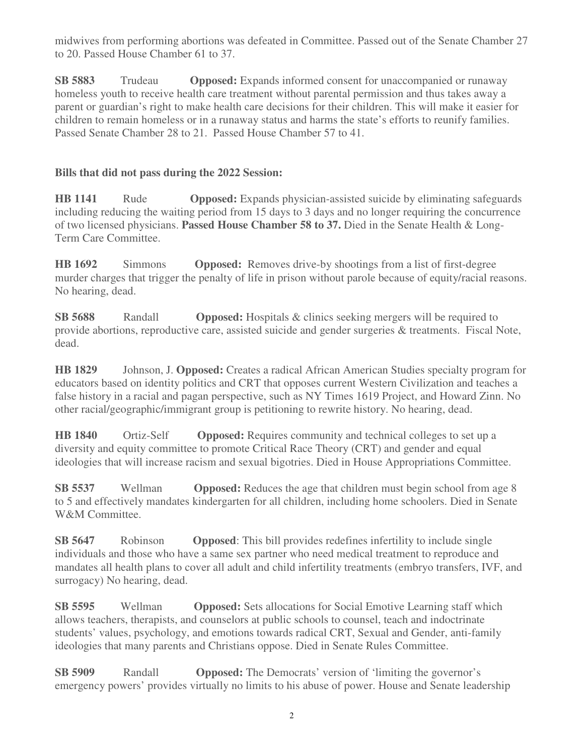midwives from performing abortions was defeated in Committee. Passed out of the Senate Chamber 27 to 20. Passed House Chamber 61 to 37.

**SB 5883** Trudeau **Opposed:** Expands informed consent for unaccompanied or runaway homeless youth to receive health care treatment without parental permission and thus takes away a parent or guardian's right to make health care decisions for their children. This will make it easier for children to remain homeless or in a runaway status and harms the state's efforts to reunify families. Passed Senate Chamber 28 to 21. Passed House Chamber 57 to 41.

# **Bills that did not pass during the 2022 Session:**

**HB 1141** Rude **Opposed:** Expands physician-assisted suicide by eliminating safeguards including reducing the waiting period from 15 days to 3 days and no longer requiring the concurrence of two licensed physicians. **Passed House Chamber 58 to 37.** Died in the Senate Health & Long-Term Care Committee.

**HB 1692** Simmons **Opposed:** Removes drive-by shootings from a list of first-degree murder charges that trigger the penalty of life in prison without parole because of equity/racial reasons. No hearing, dead.

**SB 5688** Randall **Opposed:** Hospitals & clinics seeking mergers will be required to provide abortions, reproductive care, assisted suicide and gender surgeries & treatments. Fiscal Note, dead.

**HB 1829** Johnson, J. **Opposed:** Creates a radical African American Studies specialty program for educators based on identity politics and CRT that opposes current Western Civilization and teaches a false history in a racial and pagan perspective, such as NY Times 1619 Project, and Howard Zinn. No other racial/geographic/immigrant group is petitioning to rewrite history. No hearing, dead.

**HB 1840** Ortiz-Self **Opposed:** Requires community and technical colleges to set up a diversity and equity committee to promote Critical Race Theory (CRT) and gender and equal ideologies that will increase racism and sexual bigotries. Died in House Appropriations Committee.

**SB 5537** Wellman **Opposed:** Reduces the age that children must begin school from age 8 to 5 and effectively mandates kindergarten for all children, including home schoolers. Died in Senate W&M Committee.

**SB 5647** Robinson **Opposed**: This bill provides redefines infertility to include single individuals and those who have a same sex partner who need medical treatment to reproduce and mandates all health plans to cover all adult and child infertility treatments (embryo transfers, IVF, and surrogacy) No hearing, dead.

**SB 5595** Wellman **Opposed:** Sets allocations for Social Emotive Learning staff which allows teachers, therapists, and counselors at public schools to counsel, teach and indoctrinate students' values, psychology, and emotions towards radical CRT, Sexual and Gender, anti-family ideologies that many parents and Christians oppose. Died in Senate Rules Committee.

**SB 5909** Randall **Opposed:** The Democrats' version of 'limiting the governor's emergency powers' provides virtually no limits to his abuse of power. House and Senate leadership